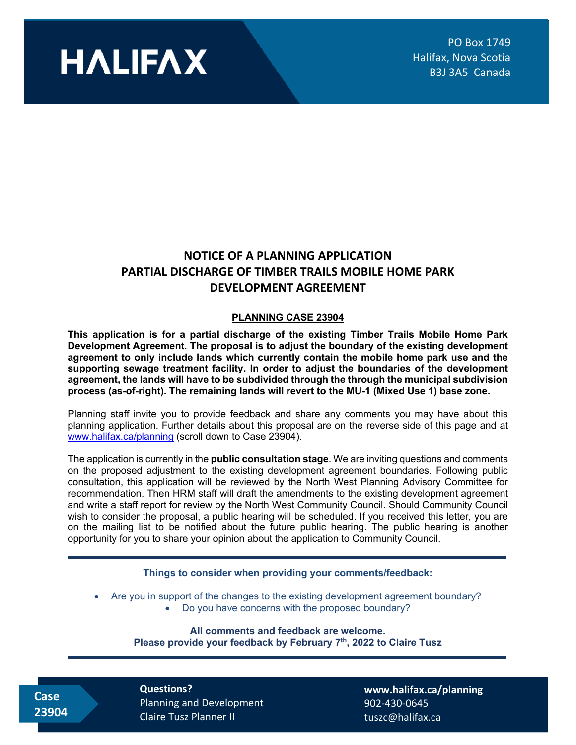

## **NOTICE OF A PLANNING APPLICATION PARTIAL DISCHARGE OF TIMBER TRAILS MOBILE HOME PARK DEVELOPMENT AGREEMENT**

## **PLANNING CASE 23904**

**This application is for a partial discharge of the existing Timber Trails Mobile Home Park Development Agreement. The proposal is to adjust the boundary of the existing development agreement to only include lands which currently contain the mobile home park use and the supporting sewage treatment facility. In order to adjust the boundaries of the development agreement, the lands will have to be subdivided through the through the municipal subdivision process (as-of-right). The remaining lands will revert to the MU-1 (Mixed Use 1) base zone.** 

Planning staff invite you to provide feedback and share any comments you may have about this planning application. Further details about this proposal are on the reverse side of this page and at [www.halifax.ca/planning](http://www.halifax.ca/planning) (scroll down to Case 23904).

The application is currently in the **public consultation stage**. We are inviting questions and comments on the proposed adjustment to the existing development agreement boundaries. Following public consultation, this application will be reviewed by the North West Planning Advisory Committee for recommendation. Then HRM staff will draft the amendments to the existing development agreement and write a staff report for review by the North West Community Council. Should Community Council wish to consider the proposal, a public hearing will be scheduled. If you received this letter, you are on the mailing list to be notified about the future public hearing. The public hearing is another opportunity for you to share your opinion about the application to Community Council.

## **Things to consider when providing your comments/feedback:**

- Are you in support of the changes to the existing development agreement boundary?
	- Do you have concerns with the proposed boundary?

**All comments and feedback are welcome. Please provide your feedback by February 7th, 2022 to Claire Tusz**

 **Case 23904** **Questions?**  Planning and Development Claire Tusz Planner II

**[www.halifax.ca/planning](http://www.halifax.ca/planning)** 902-430-0645 tuszc@halifax.ca